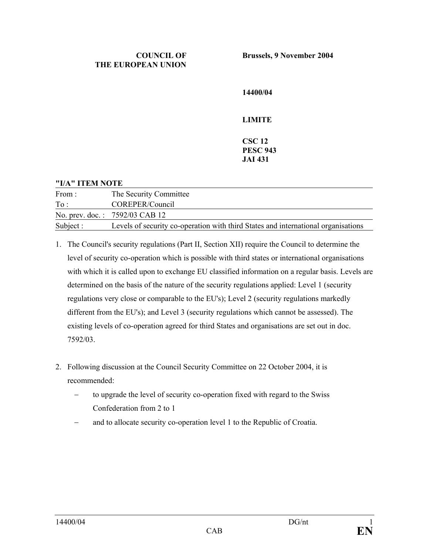**14400/04** 

**LIMITE** 

## **CSC 12 PESC 943 JAI 431**

## **"I/A" ITEM NOTE**

| From:     | The Security Committee                                                            |
|-----------|-----------------------------------------------------------------------------------|
| To:       | COREPER/Council                                                                   |
|           | No. prev. doc.: 7592/03 CAB 12                                                    |
| Subject : | Levels of security co-operation with third States and international organisations |

- 1. The Council's security regulations (Part II, Section XII) require the Council to determine the level of security co-operation which is possible with third states or international organisations with which it is called upon to exchange EU classified information on a regular basis. Levels are determined on the basis of the nature of the security regulations applied: Level 1 (security regulations very close or comparable to the EU's); Level 2 (security regulations markedly different from the EU's); and Level 3 (security regulations which cannot be assessed). The existing levels of co-operation agreed for third States and organisations are set out in doc. 7592/03.
- 2. Following discussion at the Council Security Committee on 22 October 2004, it is recommended:
	- to upgrade the level of security co-operation fixed with regard to the Swiss Confederation from 2 to 1
	- − and to allocate security co-operation level 1 to the Republic of Croatia.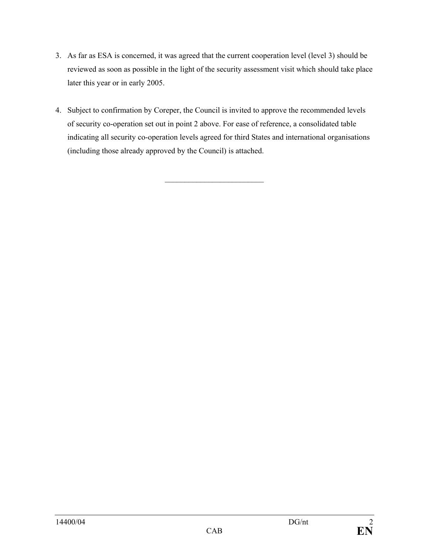- 3. As far as ESA is concerned, it was agreed that the current cooperation level (level 3) should be reviewed as soon as possible in the light of the security assessment visit which should take place later this year or in early 2005.
- 4. Subject to confirmation by Coreper, the Council is invited to approve the recommended levels of security co-operation set out in point 2 above. For ease of reference, a consolidated table indicating all security co-operation levels agreed for third States and international organisations (including those already approved by the Council) is attached.

 $\_$